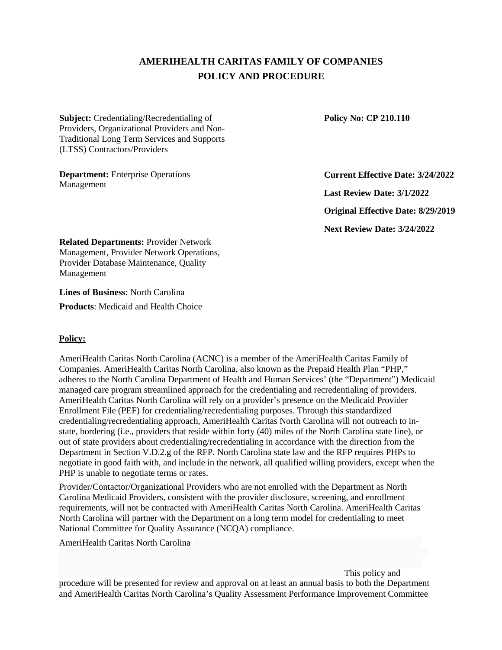# **AMERIHEALTH CARITAS FAMILY OF COMPANIES POLICY AND PROCEDURE**

**Subject:** Credentialing/Recredentialing of Providers, Organizational Providers and Non-Traditional Long Term Services and Supports (LTSS) Contractors/Providers

**Department:** Enterprise Operations Management

**Policy No: CP 210.110** 

**Current Effective Date: 3/24/2022** 

**Last Review Date: 3/1/2022** 

**Original Effective Date: 8/29/2019** 

**Next Review Date: 3/24/2022** 

**Related Departments:** Provider Network Management, Provider Network Operations, Provider Database Maintenance, Quality Management

**Lines of Business**: North Carolina **Products**: Medicaid and Health Choice

## **Policy:**

AmeriHealth Caritas North Carolina (ACNC) is a member of the AmeriHealth Caritas Family of Companies. AmeriHealth Caritas North Carolina, also known as the Prepaid Health Plan "PHP," adheres to the North Carolina Department of Health and Human Services' (the "Department") Medicaid managed care program streamlined approach for the credentialing and recredentialing of providers. AmeriHealth Caritas North Carolina will rely on a provider's presence on the Medicaid Provider Enrollment File (PEF) for credentialing/recredentialing purposes. Through this standardized credentialing/recredentialing approach, AmeriHealth Caritas North Carolina will not outreach to instate, bordering (i.e., providers that reside within forty (40) miles of the North Carolina state line), or out of state providers about credentialing/recredentialing in accordance with the direction from the Department in Section V.D.2.g of the RFP. North Carolina state law and the RFP requires PHPs to negotiate in good faith with, and include in the network, all qualified willing providers, except when the PHP is unable to negotiate terms or rates.

Provider/Contactor/Organizational Providers who are not enrolled with the Department as North Carolina Medicaid Providers, consistent with the provider disclosure, screening, and enrollment requirements, will not be contracted with AmeriHealth Caritas North Carolina. AmeriHealth Caritas North Carolina will partner with the Department on a long term model for credentialing to meet National Committee for Quality Assurance (NCQA) compliance.

AmeriHealth Caritas North Carolina

This policy and

procedure will be presented for review and approval on at least an annual basis to both the Department and AmeriHealth Caritas North Carolina's Quality Assessment Performance Improvement Committee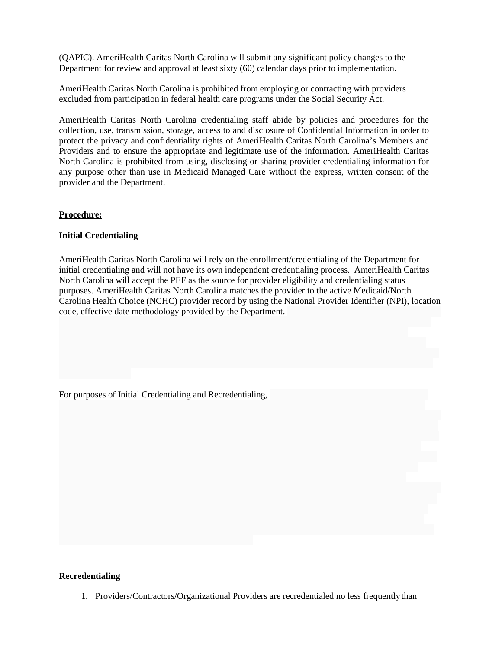(QAPIC). AmeriHealth Caritas North Carolina will submit any significant policy changes to the Department for review and approval at least sixty (60) calendar days prior to implementation.

AmeriHealth Caritas North Carolina is prohibited from employing or contracting with providers excluded from participation in federal health care programs under the Social Security Act.

AmeriHealth Caritas North Carolina credentialing staff abide by policies and procedures for the collection, use, transmission, storage, access to and disclosure of Confidential Information in order to protect the privacy and confidentiality rights of AmeriHealth Caritas North Carolina's Members and Providers and to ensure the appropriate and legitimate use of the information. AmeriHealth Caritas North Carolina is prohibited from using, disclosing or sharing provider credentialing information for any purpose other than use in Medicaid Managed Care without the express, written consent of the provider and the Department.

#### **Procedure:**

#### **Initial Credentialing**

AmeriHealth Caritas North Carolina will rely on the enrollment/credentialing of the Department for initial credentialing and will not have its own independent credentialing process. AmeriHealth Caritas North Carolina will accept the PEF as the source for provider eligibility and credentialing status purposes. AmeriHealth Caritas North Carolina matches the provider to the active Medicaid/North Carolina Health Choice (NCHC) provider record by using the National Provider Identifier (NPI), location code, effective date methodology provided by the Department.

For purposes of Initial Credentialing and Recredentialing,

#### **Recredentialing**

1. Providers/Contractors/Organizational Providers are recredentialed no less frequently than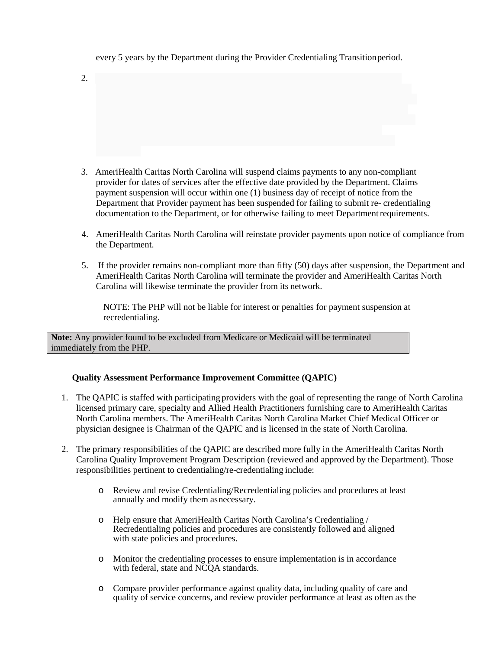#### every 5 years by the Department during the Provider Credentialing Transition period.

 $2.$ 

- 3. AmeriHealth Caritas North Carolina will suspend claims payments to any non-compliant provider for dates of services after the effective date provided by the Department. Claims payment suspension will occur within one (1) business day of receipt of notice from the Department that Provider payment has been suspended for failing to submit re- credentialing documentation to the Department, or for otherwise failing to meet Department requirements.
- 4. AmeriHealth Caritas North Carolina will reinstate provider payments upon notice of compliance from the Department.
- 5. If the provider remains non-compliant more than fifty (50) days after suspension, the Department and AmeriHealth Caritas North Carolina will terminate the provider and AmeriHealth Caritas North Carolina will likewise terminate the provider from its network.

NOTE: The PHP will not be liable for interest or penalties for payment suspension at recredentialing.

**Note:** Any provider found to be excluded from Medicare or Medicaid will be terminated immediately from the PHP.

#### **Quality Assessment Performance Improvement Committee (QAPIC)**

- 1. The QAPIC is staffed with participating providers with the goal of representing the range of North Carolina licensed primary care, specialty and Allied Health Practitioners furnishing care to AmeriHealth Caritas North Carolina members. The AmeriHealth Caritas North Carolina Market Chief Medical Officer or physician designee is Chairman of the QAPIC and is licensed in the state of North Carolina.
- 2. The primary responsibilities of the QAPIC are described more fully in the AmeriHealth Caritas North Carolina Quality Improvement Program Description (reviewed and approved by the Department). Those responsibilities pertinent to credentialing/re-credentialing include:
	- o Review and revise Credentialing/Recredentialing policies and procedures at least annually and modify them as necessary.
	- o Help ensure that AmeriHealth Caritas North Carolina's Credentialing / Recredentialing policies and procedures are consistently followed and aligned with state policies and procedures.
	- o Monitor the credentialing processes to ensure implementation is in accordance with federal, state and NCQA standards.
	- o Compare provider performance against quality data, including quality of care and quality of service concerns, and review provider performance at least as often as the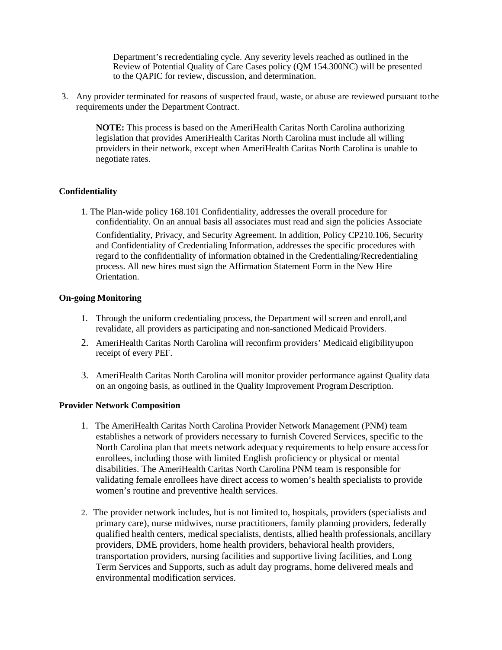Department's recredentialing cycle. Any severity levels reached as outlined in the Review of Potential Quality of Care Cases policy (QM 154.300NC) will be presented to the QAPIC for review, discussion, and determination.

3. Any provider terminated for reasons of suspected fraud, waste, or abuse are reviewed pursuant tothe requirements under the Department Contract.

**NOTE:** This process is based on the AmeriHealth Caritas North Carolina authorizing legislation that provides AmeriHealth Caritas North Carolina must include all willing providers in their network, except when AmeriHealth Caritas North Carolina is unable to negotiate rates.

#### **Confidentiality**

1. The Plan-wide policy 168.101 Confidentiality, addresses the overall procedure for confidentiality. On an annual basis all associates must read and sign the policies Associate

Confidentiality, Privacy, and Security Agreement. In addition, Policy CP210.106, Security and Confidentiality of Credentialing Information, addresses the specific procedures with regard to the confidentiality of information obtained in the Credentialing/Recredentialing process. All new hires must sign the Affirmation Statement Form in the New Hire Orientation.

#### **On-going Monitoring**

- 1. Through the uniform credentialing process, the Department will screen and enroll, and revalidate, all providers as participating and non-sanctioned Medicaid Providers.
- 2. AmeriHealth Caritas North Carolina will reconfirm providers' Medicaid eligibility upon receipt of every PEF.
- 3. AmeriHealth Caritas North Carolina will monitor provider performance against Quality data on an ongoing basis, as outlined in the Quality Improvement Program Description.

#### **Provider Network Composition**

- 1. The AmeriHealth Caritas North Carolina Provider Network Management (PNM) team establishes a network of providers necessary to furnish Covered Services, specific to the North Carolina plan that meets network adequacy requirements to help ensure access for enrollees, including those with limited English proficiency or physical or mental disabilities. The AmeriHealth Caritas North Carolina PNM team is responsible for validating female enrollees have direct access to women's health specialists to provide women's routine and preventive health services.
- 2. The provider network includes, but is not limited to, hospitals, providers (specialists and primary care), nurse midwives, nurse practitioners, family planning providers, federally qualified health centers, medical specialists, dentists, allied health professionals, ancillary providers, DME providers, home health providers, behavioral health providers, transportation providers, nursing facilities and supportive living facilities, and Long Term Services and Supports, such as adult day programs, home delivered meals and environmental modification services.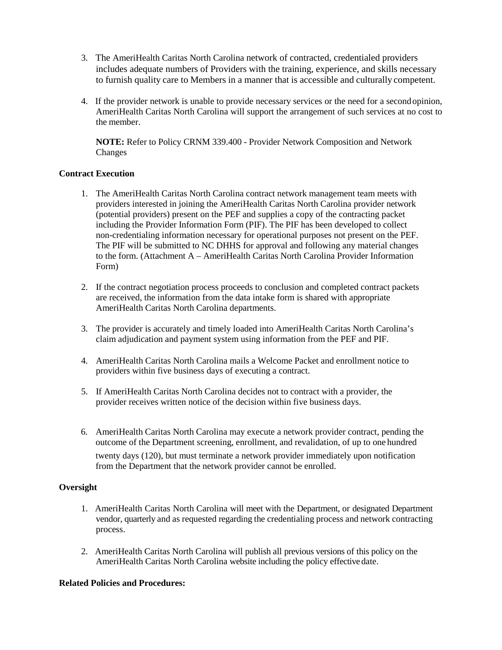- 3. The AmeriHealth Caritas North Carolina network of contracted, credentialed providers includes adequate numbers of Providers with the training, experience, and skills necessary to furnish quality care to Members in a manner that is accessible and culturally competent.
- 4. If the provider network is unable to provide necessary services or the need for a secondopinion, AmeriHealth Caritas North Carolina will support the arrangement of such services at no cost to the member.

**NOTE:** Refer to Policy CRNM 339.400 - Provider Network Composition and Network Changes

## **Contract Execution**

- 1. The AmeriHealth Caritas North Carolina contract network management team meets with providers interested in joining the AmeriHealth Caritas North Carolina provider network (potential providers) present on the PEF and supplies a copy of the contracting packet including the Provider Information Form (PIF). The PIF has been developed to collect non-credentialing information necessary for operational purposes not present on the PEF. The PIF will be submitted to NC DHHS for approval and following any material changes to the form. (Attachment A – AmeriHealth Caritas North Carolina Provider Information Form)
- 2. If the contract negotiation process proceeds to conclusion and completed contract packets are received, the information from the data intake form is shared with appropriate AmeriHealth Caritas North Carolina departments.
- 3. The provider is accurately and timely loaded into AmeriHealth Caritas North Carolina's claim adjudication and payment system using information from the PEF and PIF.
- 4. AmeriHealth Caritas North Carolina mails a Welcome Packet and enrollment notice to providers within five business days of executing a contract.
- 5. If AmeriHealth Caritas North Carolina decides not to contract with a provider, the provider receives written notice of the decision within five business days.
- 6. AmeriHealth Caritas North Carolina may execute a network provider contract, pending the outcome of the Department screening, enrollment, and revalidation, of up to one hundred twenty days (120), but must terminate a network provider immediately upon notification from the Department that the network provider cannot be enrolled.

#### **Oversight**

- 1. AmeriHealth Caritas North Carolina will meet with the Department, or designated Department vendor, quarterly and as requested regarding the credentialing process and network contracting process.
- 2. AmeriHealth Caritas North Carolina will publish all previous versions of this policy on the AmeriHealth Caritas North Carolina website including the policy effectivedate.

#### **Related Policies and Procedures:**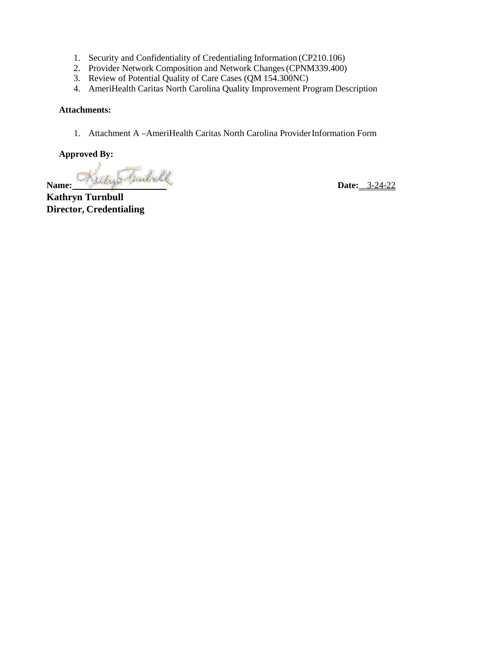- 1. Security and Confidentiality of Credentialing Information (CP210.106)
- 2. Provider Network Composition and Network Changes (CPNM339.400)
- 3. Review of Potential Quality of Care Cases (QM 154.300NC)
- 4. AmeriHealth Caritas North Carolina Quality Improvement Program Description

#### **Attachments:**

1. Attachment A –AmeriHealth Caritas North Carolina Provider Information Form

#### **Approved By:**

**Name: Date:** 3-24-22

**Kathryn Turnbull Director, Credentialing**